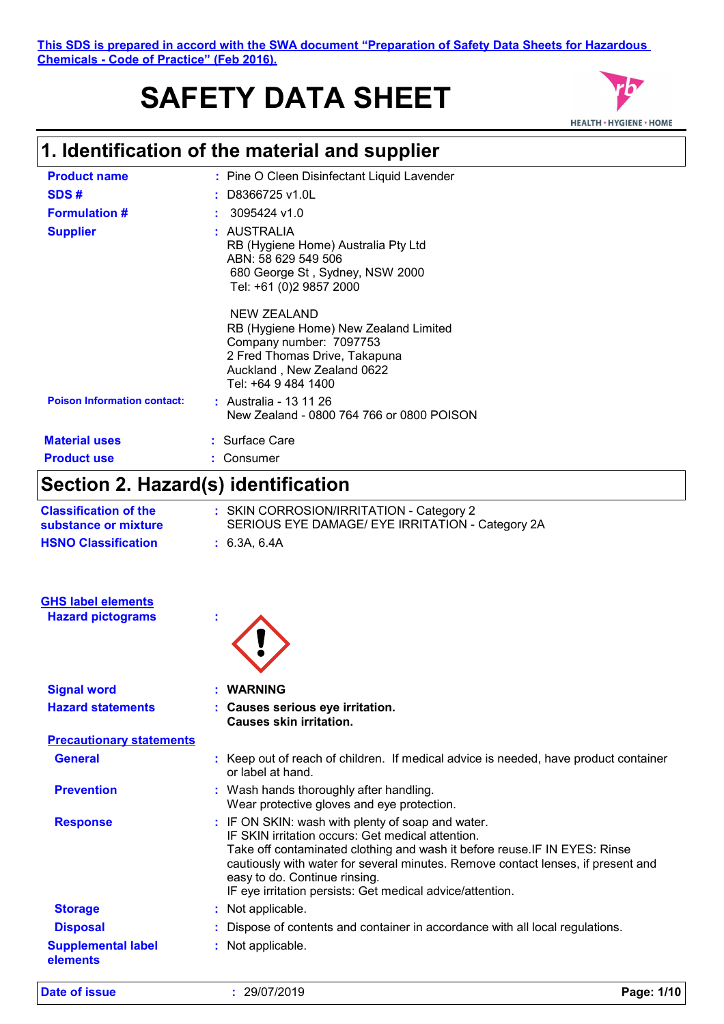#### **This SDS is prepared in accord with the SWA document "Preparation of Safety Data Sheets for Hazardous Chemicals - Code of Practice" (Feb 2016).**

# **SAFETY DATA SHEET**



# **1. Identification of the material and supplier**

| <b>Product name</b>                | : Pine O Cleen Disinfectant Liquid Lavender                                                                                                                           |
|------------------------------------|-----------------------------------------------------------------------------------------------------------------------------------------------------------------------|
| SDS#                               | $:$ D8366725 v1.0L                                                                                                                                                    |
| <b>Formulation #</b>               | $: 3095424$ v1.0                                                                                                                                                      |
| <b>Supplier</b>                    | : AUSTRALIA<br>RB (Hygiene Home) Australia Pty Ltd<br>ABN: 58 629 549 506<br>680 George St, Sydney, NSW 2000<br>Tel: +61 (0)2 9857 2000                               |
|                                    | NEW ZEALAND<br>RB (Hygiene Home) New Zealand Limited<br>Company number: 7097753<br>2 Fred Thomas Drive, Takapuna<br>Auckland, New Zealand 0622<br>Tel: +64 9 484 1400 |
| <b>Poison Information contact:</b> | : Australia - 13 11 26<br>New Zealand - 0800 764 766 or 0800 POISON                                                                                                   |
| <b>Material uses</b>               | : Surface Care                                                                                                                                                        |
| <b>Product use</b>                 | Consumer                                                                                                                                                              |

# **Section 2. Hazard(s) identification**

| <b>Classification of the</b><br>substance or mixture | : SKIN CORROSION/IRRITATION - Category 2<br>SERIOUS EYE DAMAGE/ EYE IRRITATION - Category 2A                                                                                                                                                                                                                                                                           |
|------------------------------------------------------|------------------------------------------------------------------------------------------------------------------------------------------------------------------------------------------------------------------------------------------------------------------------------------------------------------------------------------------------------------------------|
| <b>HSNO Classification</b>                           | : 6.3A, 6.4A                                                                                                                                                                                                                                                                                                                                                           |
| <b>GHS label elements</b>                            |                                                                                                                                                                                                                                                                                                                                                                        |
| <b>Hazard pictograms</b>                             |                                                                                                                                                                                                                                                                                                                                                                        |
| <b>Signal word</b>                                   | <b>WARNING</b>                                                                                                                                                                                                                                                                                                                                                         |
| <b>Hazard statements</b>                             | : Causes serious eye irritation.<br><b>Causes skin irritation.</b>                                                                                                                                                                                                                                                                                                     |
| <b>Precautionary statements</b>                      |                                                                                                                                                                                                                                                                                                                                                                        |
| <b>General</b>                                       | : Keep out of reach of children. If medical advice is needed, have product container<br>or label at hand.                                                                                                                                                                                                                                                              |
| <b>Prevention</b>                                    | : Wash hands thoroughly after handling.<br>Wear protective gloves and eye protection.                                                                                                                                                                                                                                                                                  |
| <b>Response</b>                                      | : IF ON SKIN: wash with plenty of soap and water.<br>IF SKIN irritation occurs: Get medical attention.<br>Take off contaminated clothing and wash it before reuse. IF IN EYES: Rinse<br>cautiously with water for several minutes. Remove contact lenses, if present and<br>easy to do. Continue rinsing.<br>IF eye irritation persists: Get medical advice/attention. |
| <b>Storage</b>                                       | : Not applicable.                                                                                                                                                                                                                                                                                                                                                      |
| <b>Disposal</b>                                      | : Dispose of contents and container in accordance with all local regulations.                                                                                                                                                                                                                                                                                          |
| <b>Supplemental label</b><br>elements                | : Not applicable.                                                                                                                                                                                                                                                                                                                                                      |
|                                                      |                                                                                                                                                                                                                                                                                                                                                                        |

**Date of issue :** 29/07/2019 **Page: 1/10**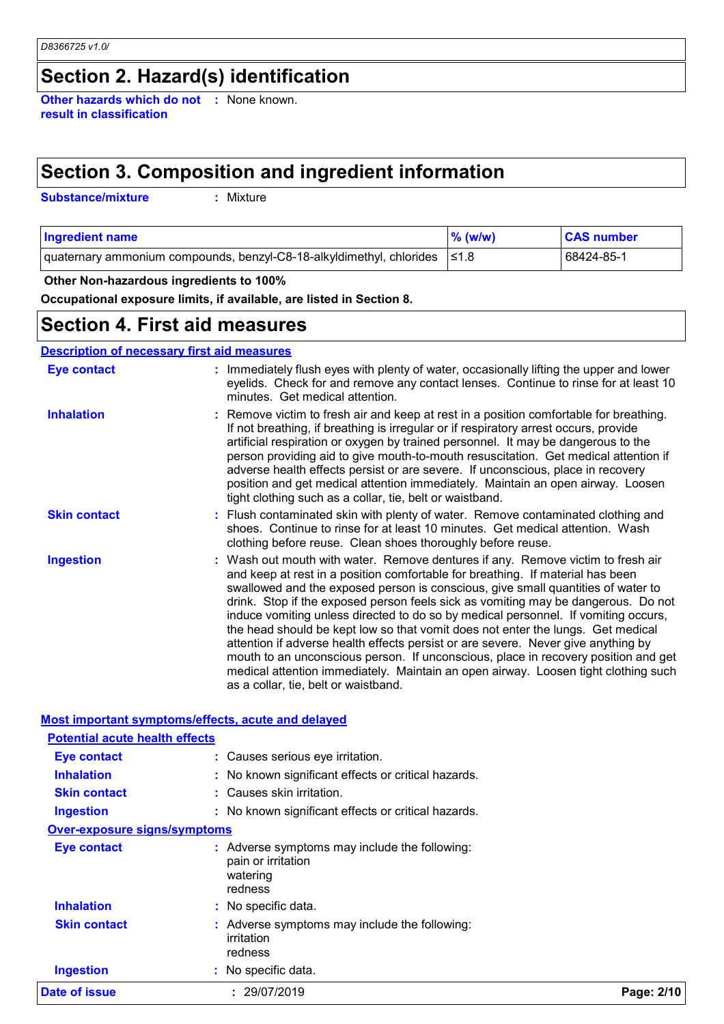# **Section 2. Hazard(s) identification**

**Other hazards which do not :** None known. **result in classification**

# **Section 3. Composition and ingredient information**

**Substance/mixture :**

: Mixture

| <b>Ingredient name</b>                                                          | $\%$ (w/w) | <b>CAS number</b> |
|---------------------------------------------------------------------------------|------------|-------------------|
| quaternary ammonium compounds, benzyl-C8-18-alkyldimethyl, chlorides $\leq 1.8$ |            | 68424-85-1        |

#### **Other Non-hazardous ingredients to 100%**

**Occupational exposure limits, if available, are listed in Section 8.**

### **Section 4. First aid measures**

#### **Description of necessary first aid measures**

| <b>Eye contact</b>  | : Immediately flush eyes with plenty of water, occasionally lifting the upper and lower<br>eyelids. Check for and remove any contact lenses. Continue to rinse for at least 10<br>minutes. Get medical attention.                                                                                                                                                                                                                                                                                                                                                                                                                                                                                                                                                                                                            |
|---------------------|------------------------------------------------------------------------------------------------------------------------------------------------------------------------------------------------------------------------------------------------------------------------------------------------------------------------------------------------------------------------------------------------------------------------------------------------------------------------------------------------------------------------------------------------------------------------------------------------------------------------------------------------------------------------------------------------------------------------------------------------------------------------------------------------------------------------------|
| <b>Inhalation</b>   | : Remove victim to fresh air and keep at rest in a position comfortable for breathing.<br>If not breathing, if breathing is irregular or if respiratory arrest occurs, provide<br>artificial respiration or oxygen by trained personnel. It may be dangerous to the<br>person providing aid to give mouth-to-mouth resuscitation. Get medical attention if<br>adverse health effects persist or are severe. If unconscious, place in recovery<br>position and get medical attention immediately. Maintain an open airway. Loosen<br>tight clothing such as a collar, tie, belt or waistband.                                                                                                                                                                                                                                 |
| <b>Skin contact</b> | : Flush contaminated skin with plenty of water. Remove contaminated clothing and<br>shoes. Continue to rinse for at least 10 minutes. Get medical attention. Wash<br>clothing before reuse. Clean shoes thoroughly before reuse.                                                                                                                                                                                                                                                                                                                                                                                                                                                                                                                                                                                             |
| <b>Ingestion</b>    | : Wash out mouth with water. Remove dentures if any. Remove victim to fresh air<br>and keep at rest in a position comfortable for breathing. If material has been<br>swallowed and the exposed person is conscious, give small quantities of water to<br>drink. Stop if the exposed person feels sick as vomiting may be dangerous. Do not<br>induce vomiting unless directed to do so by medical personnel. If vomiting occurs,<br>the head should be kept low so that vomit does not enter the lungs. Get medical<br>attention if adverse health effects persist or are severe. Never give anything by<br>mouth to an unconscious person. If unconscious, place in recovery position and get<br>medical attention immediately. Maintain an open airway. Loosen tight clothing such<br>as a collar, tie, belt or waistband. |

#### **Most important symptoms/effects, acute and delayed**

| Date of issue                         | : 29/07/2019                                                                               | Page: 2/10 |
|---------------------------------------|--------------------------------------------------------------------------------------------|------------|
| <b>Ingestion</b>                      | : No specific data.                                                                        |            |
| <b>Skin contact</b>                   | Adverse symptoms may include the following:<br>irritation<br>redness                       |            |
| <b>Inhalation</b>                     | : No specific data.                                                                        |            |
| <b>Eye contact</b>                    | : Adverse symptoms may include the following:<br>pain or irritation<br>watering<br>redness |            |
| <b>Over-exposure signs/symptoms</b>   |                                                                                            |            |
| <b>Ingestion</b>                      | : No known significant effects or critical hazards.                                        |            |
| <b>Skin contact</b>                   | : Causes skin irritation.                                                                  |            |
| <b>Inhalation</b>                     | : No known significant effects or critical hazards.                                        |            |
| Eye contact                           | : Causes serious eye irritation.                                                           |            |
| <b>Potential acute health effects</b> |                                                                                            |            |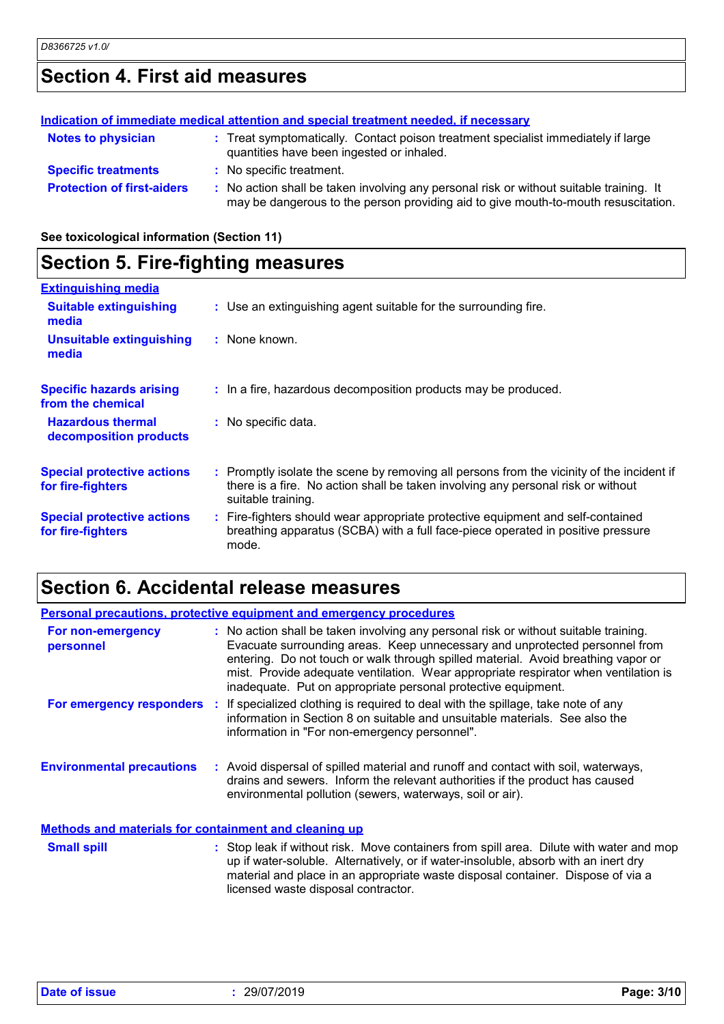# **Section 4. First aid measures**

|                                   | Indication of immediate medical attention and special treatment needed, if necessary                                                                                          |
|-----------------------------------|-------------------------------------------------------------------------------------------------------------------------------------------------------------------------------|
| <b>Notes to physician</b>         | : Treat symptomatically. Contact poison treatment specialist immediately if large<br>quantities have been ingested or inhaled.                                                |
| <b>Specific treatments</b>        | : No specific treatment.                                                                                                                                                      |
| <b>Protection of first-aiders</b> | : No action shall be taken involving any personal risk or without suitable training. It<br>may be dangerous to the person providing aid to give mouth-to-mouth resuscitation. |

**See toxicological information (Section 11)**

# **Section 5. Fire-fighting measures**

| <b>Extinguishing media</b>                             |                                                                                                                                                                                                     |
|--------------------------------------------------------|-----------------------------------------------------------------------------------------------------------------------------------------------------------------------------------------------------|
| <b>Suitable extinguishing</b><br>media                 | : Use an extinguishing agent suitable for the surrounding fire.                                                                                                                                     |
| <b>Unsuitable extinguishing</b><br>media               | : None known.                                                                                                                                                                                       |
| <b>Specific hazards arising</b><br>from the chemical   | : In a fire, hazardous decomposition products may be produced.                                                                                                                                      |
| <b>Hazardous thermal</b><br>decomposition products     | : No specific data.                                                                                                                                                                                 |
| <b>Special protective actions</b><br>for fire-fighters | : Promptly isolate the scene by removing all persons from the vicinity of the incident if<br>there is a fire. No action shall be taken involving any personal risk or without<br>suitable training. |
| <b>Special protective actions</b><br>for fire-fighters | : Fire-fighters should wear appropriate protective equipment and self-contained<br>breathing apparatus (SCBA) with a full face-piece operated in positive pressure<br>mode.                         |

# **Section 6. Accidental release measures**

| <b>Personal precautions, protective equipment and emergency procedures</b> |                                                                                                                                                                                                                                                                                                                                                                                                                  |  |
|----------------------------------------------------------------------------|------------------------------------------------------------------------------------------------------------------------------------------------------------------------------------------------------------------------------------------------------------------------------------------------------------------------------------------------------------------------------------------------------------------|--|
| For non-emergency<br>personnel                                             | : No action shall be taken involving any personal risk or without suitable training.<br>Evacuate surrounding areas. Keep unnecessary and unprotected personnel from<br>entering. Do not touch or walk through spilled material. Avoid breathing vapor or<br>mist. Provide adequate ventilation. Wear appropriate respirator when ventilation is<br>inadequate. Put on appropriate personal protective equipment. |  |
|                                                                            | <b>For emergency responders</b> : If specialized clothing is required to deal with the spillage, take note of any<br>information in Section 8 on suitable and unsuitable materials. See also the<br>information in "For non-emergency personnel".                                                                                                                                                                |  |
| <b>Environmental precautions</b>                                           | : Avoid dispersal of spilled material and runoff and contact with soil, waterways,<br>drains and sewers. Inform the relevant authorities if the product has caused<br>environmental pollution (sewers, waterways, soil or air).                                                                                                                                                                                  |  |
| <b>Methods and materials for containment and cleaning up</b>               |                                                                                                                                                                                                                                                                                                                                                                                                                  |  |
| <b>Small spill</b>                                                         | : Stop leak if without risk. Move containers from spill area. Dilute with water and mop<br>up if water-soluble. Alternatively, or if water-insoluble, absorb with an inert dry<br>material and place in an appropriate waste disposal container. Dispose of via a<br>licensed waste disposal contractor.                                                                                                         |  |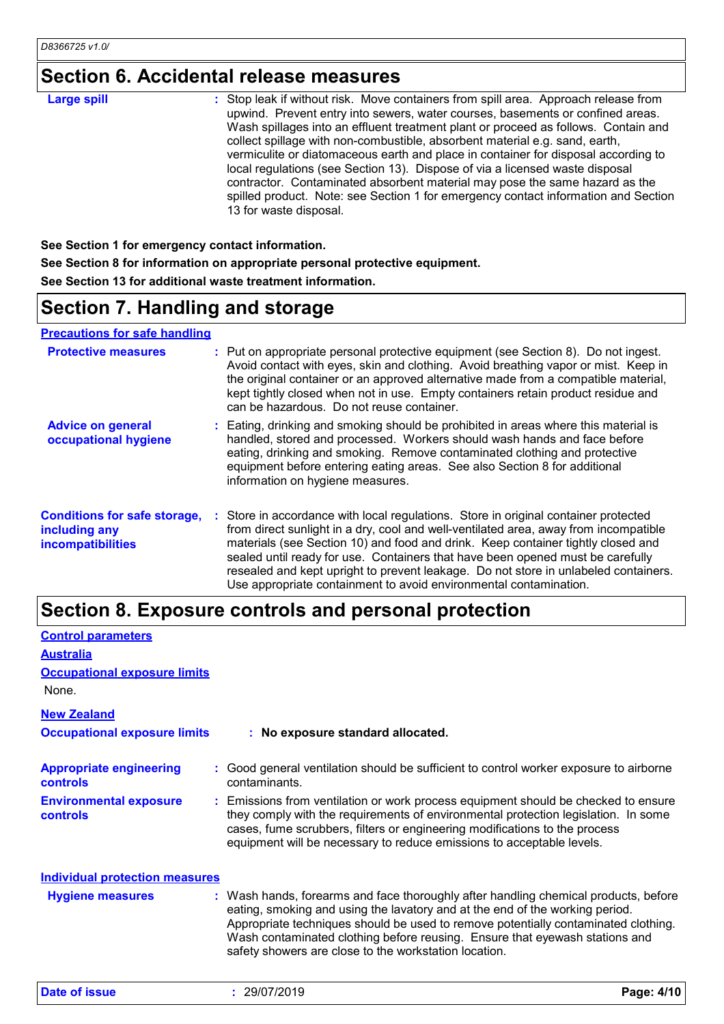# **Section 6. Accidental release measures**

| <b>Large spill</b> | : Stop leak if without risk. Move containers from spill area. Approach release from<br>upwind. Prevent entry into sewers, water courses, basements or confined areas.<br>Wash spillages into an effluent treatment plant or proceed as follows. Contain and<br>collect spillage with non-combustible, absorbent material e.g. sand, earth,<br>vermiculite or diatomaceous earth and place in container for disposal according to |
|--------------------|----------------------------------------------------------------------------------------------------------------------------------------------------------------------------------------------------------------------------------------------------------------------------------------------------------------------------------------------------------------------------------------------------------------------------------|
|                    | local regulations (see Section 13). Dispose of via a licensed waste disposal<br>contractor. Contaminated absorbent material may pose the same hazard as the<br>spilled product. Note: see Section 1 for emergency contact information and Section<br>13 for waste disposal.                                                                                                                                                      |

**See Section 1 for emergency contact information. See Section 8 for information on appropriate personal protective equipment. See Section 13 for additional waste treatment information.**

# **Section 7. Handling and storage**

**Precautions for safe handling**

| <b>Protective measures</b>                                                       | : Put on appropriate personal protective equipment (see Section 8). Do not ingest.<br>Avoid contact with eyes, skin and clothing. Avoid breathing vapor or mist. Keep in<br>the original container or an approved alternative made from a compatible material,<br>kept tightly closed when not in use. Empty containers retain product residue and<br>can be hazardous. Do not reuse container.                                                                                                               |  |
|----------------------------------------------------------------------------------|---------------------------------------------------------------------------------------------------------------------------------------------------------------------------------------------------------------------------------------------------------------------------------------------------------------------------------------------------------------------------------------------------------------------------------------------------------------------------------------------------------------|--|
| <b>Advice on general</b><br>occupational hygiene                                 | : Eating, drinking and smoking should be prohibited in areas where this material is<br>handled, stored and processed. Workers should wash hands and face before<br>eating, drinking and smoking. Remove contaminated clothing and protective<br>equipment before entering eating areas. See also Section 8 for additional<br>information on hygiene measures.                                                                                                                                                 |  |
| <b>Conditions for safe storage,</b><br>including any<br><b>incompatibilities</b> | : Store in accordance with local regulations. Store in original container protected<br>from direct sunlight in a dry, cool and well-ventilated area, away from incompatible<br>materials (see Section 10) and food and drink. Keep container tightly closed and<br>sealed until ready for use. Containers that have been opened must be carefully<br>resealed and kept upright to prevent leakage. Do not store in unlabeled containers.<br>Use appropriate containment to avoid environmental contamination. |  |

### **Section 8. Exposure controls and personal protection**

| <b>Control parameters</b>                         |                                                                                                                                                                                                                                                                                                                                                                                                   |
|---------------------------------------------------|---------------------------------------------------------------------------------------------------------------------------------------------------------------------------------------------------------------------------------------------------------------------------------------------------------------------------------------------------------------------------------------------------|
| <b>Australia</b>                                  |                                                                                                                                                                                                                                                                                                                                                                                                   |
| <b>Occupational exposure limits</b>               |                                                                                                                                                                                                                                                                                                                                                                                                   |
| None.                                             |                                                                                                                                                                                                                                                                                                                                                                                                   |
| <b>New Zealand</b>                                |                                                                                                                                                                                                                                                                                                                                                                                                   |
| <b>Occupational exposure limits</b>               | : No exposure standard allocated.                                                                                                                                                                                                                                                                                                                                                                 |
| <b>Appropriate engineering</b><br><b>controls</b> | : Good general ventilation should be sufficient to control worker exposure to airborne<br>contaminants.                                                                                                                                                                                                                                                                                           |
| <b>Environmental exposure</b><br><b>controls</b>  | : Emissions from ventilation or work process equipment should be checked to ensure<br>they comply with the requirements of environmental protection legislation. In some<br>cases, fume scrubbers, filters or engineering modifications to the process<br>equipment will be necessary to reduce emissions to acceptable levels.                                                                   |
| <b>Individual protection measures</b>             |                                                                                                                                                                                                                                                                                                                                                                                                   |
| <b>Hygiene measures</b>                           | : Wash hands, forearms and face thoroughly after handling chemical products, before<br>eating, smoking and using the lavatory and at the end of the working period.<br>Appropriate techniques should be used to remove potentially contaminated clothing.<br>Wash contaminated clothing before reusing. Ensure that eyewash stations and<br>safety showers are close to the workstation location. |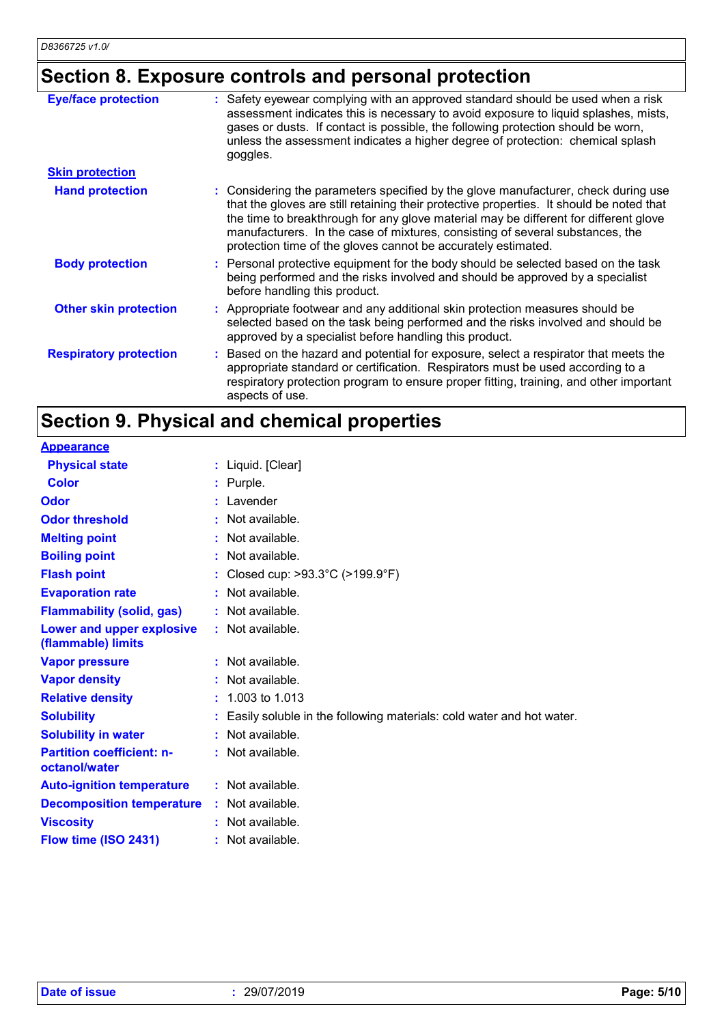# **Section 8. Exposure controls and personal protection**

| <b>Eye/face protection</b>    | : Safety eyewear complying with an approved standard should be used when a risk<br>assessment indicates this is necessary to avoid exposure to liquid splashes, mists,<br>gases or dusts. If contact is possible, the following protection should be worn,<br>unless the assessment indicates a higher degree of protection: chemical splash<br>goggles.                                                                 |
|-------------------------------|--------------------------------------------------------------------------------------------------------------------------------------------------------------------------------------------------------------------------------------------------------------------------------------------------------------------------------------------------------------------------------------------------------------------------|
| <b>Skin protection</b>        |                                                                                                                                                                                                                                                                                                                                                                                                                          |
| <b>Hand protection</b>        | : Considering the parameters specified by the glove manufacturer, check during use<br>that the gloves are still retaining their protective properties. It should be noted that<br>the time to breakthrough for any glove material may be different for different glove<br>manufacturers. In the case of mixtures, consisting of several substances, the<br>protection time of the gloves cannot be accurately estimated. |
| <b>Body protection</b>        | : Personal protective equipment for the body should be selected based on the task<br>being performed and the risks involved and should be approved by a specialist<br>before handling this product.                                                                                                                                                                                                                      |
| <b>Other skin protection</b>  | : Appropriate footwear and any additional skin protection measures should be<br>selected based on the task being performed and the risks involved and should be<br>approved by a specialist before handling this product.                                                                                                                                                                                                |
| <b>Respiratory protection</b> | : Based on the hazard and potential for exposure, select a respirator that meets the<br>appropriate standard or certification. Respirators must be used according to a<br>respiratory protection program to ensure proper fitting, training, and other important<br>aspects of use.                                                                                                                                      |

# **Section 9. Physical and chemical properties**

| <b>Appearance</b>                                 |                                                                      |
|---------------------------------------------------|----------------------------------------------------------------------|
| <b>Physical state</b>                             | : Liquid. [Clear]                                                    |
| <b>Color</b>                                      | : Purple.                                                            |
| Odor                                              | : Lavender                                                           |
| <b>Odor threshold</b>                             | Not available.                                                       |
| <b>Melting point</b>                              | Not available.                                                       |
| <b>Boiling point</b>                              | Not available.                                                       |
| <b>Flash point</b>                                | Closed cup: >93.3°C (>199.9°F)                                       |
| <b>Evaporation rate</b>                           | Not available.                                                       |
| <b>Flammability (solid, gas)</b>                  | : Not available.                                                     |
| Lower and upper explosive<br>(flammable) limits   | $:$ Not available.                                                   |
| <b>Vapor pressure</b>                             | Not available.                                                       |
| <b>Vapor density</b>                              | : Not available.                                                     |
| <b>Relative density</b>                           | 1.003 to 1.013                                                       |
| <b>Solubility</b>                                 | Easily soluble in the following materials: cold water and hot water. |
| <b>Solubility in water</b>                        | : Not available.                                                     |
| <b>Partition coefficient: n-</b><br>octanol/water | : Not available.                                                     |
| <b>Auto-ignition temperature</b>                  | $:$ Not available.                                                   |
| <b>Decomposition temperature</b>                  | $:$ Not available.                                                   |
| <b>Viscosity</b>                                  | Not available.                                                       |
| Flow time (ISO 2431)                              | : Not available.                                                     |
|                                                   |                                                                      |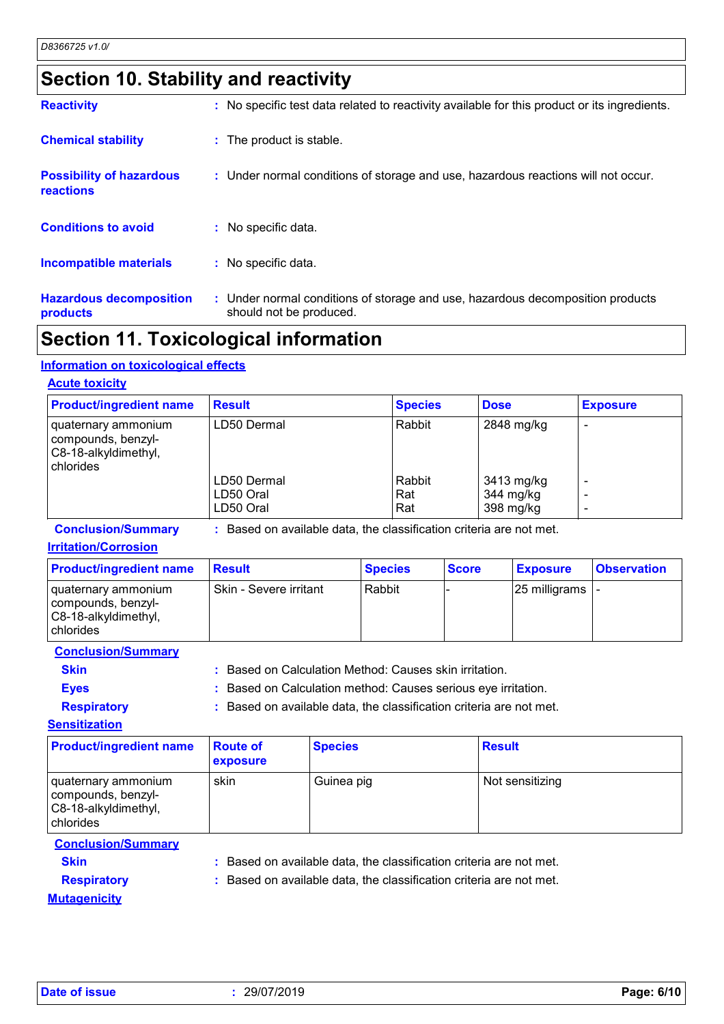# **Section 10. Stability and reactivity**

| <b>Reactivity</b>                            | : No specific test data related to reactivity available for this product or its ingredients.              |
|----------------------------------------------|-----------------------------------------------------------------------------------------------------------|
| <b>Chemical stability</b>                    | : The product is stable.                                                                                  |
| <b>Possibility of hazardous</b><br>reactions | : Under normal conditions of storage and use, hazardous reactions will not occur.                         |
| <b>Conditions to avoid</b>                   | : No specific data.                                                                                       |
| Incompatible materials                       | : No specific data.                                                                                       |
| <b>Hazardous decomposition</b><br>products   | : Under normal conditions of storage and use, hazardous decomposition products<br>should not be produced. |

### **Section 11. Toxicological information**

#### **Information on toxicological effects**

#### **Acute toxicity**

| <b>Product/ingredient name</b>                                                   | <b>Result</b>                         | <b>Species</b>       | <b>Dose</b>                          | <b>Exposure</b> |
|----------------------------------------------------------------------------------|---------------------------------------|----------------------|--------------------------------------|-----------------|
| I quaternary ammonium<br>compounds, benzyl-<br>C8-18-alkyldimethyl,<br>chlorides | LD50 Dermal                           | Rabbit               | 2848 mg/kg                           |                 |
|                                                                                  | LD50 Dermal<br>LD50 Oral<br>LD50 Oral | Rabbit<br>Rat<br>Rat | 3413 mg/kg<br>344 mg/kg<br>398 mg/kg |                 |

**Conclusion/Summary :** Based on available data, the classification criteria are not met.

#### **Irritation/Corrosion**

| <b>Product/ingredient name</b>                                                            | <b>Result</b>          | <b>Species</b> | <b>Score</b> | <b>Exposure</b>           | <b>Observation</b> |
|-------------------------------------------------------------------------------------------|------------------------|----------------|--------------|---------------------------|--------------------|
| I quaternary ammonium<br>  compounds, benzyl-<br>C8-18-alkyldimethyl,<br><b>chlorides</b> | Skin - Severe irritant | Rabbit         |              | $ 25 \text{ milligrams} $ |                    |

**Conclusion/Summary**

**Skin :** Based on Calculation Method: Causes skin irritation.

**Eyes :** Based on Calculation method: Causes serious eye irritation.

**Respiratory :** Based on available data, the classification criteria are not met.

**Sensitization**

| <b>Product/ingredient name</b>                                                 | <b>Route of</b><br><b>exposure</b> | <b>Species</b> | <b>Result</b>   |
|--------------------------------------------------------------------------------|------------------------------------|----------------|-----------------|
| quaternary ammonium<br>compounds, benzyl-<br>C8-18-alkyldimethyl,<br>chlorides | skin                               | Guinea pig     | Not sensitizing |

#### **Conclusion/Summary**

**Skin :** Based on available data, the classification criteria are not met.

**Respiratory :** Based on available data, the classification criteria are not met.

**Mutagenicity**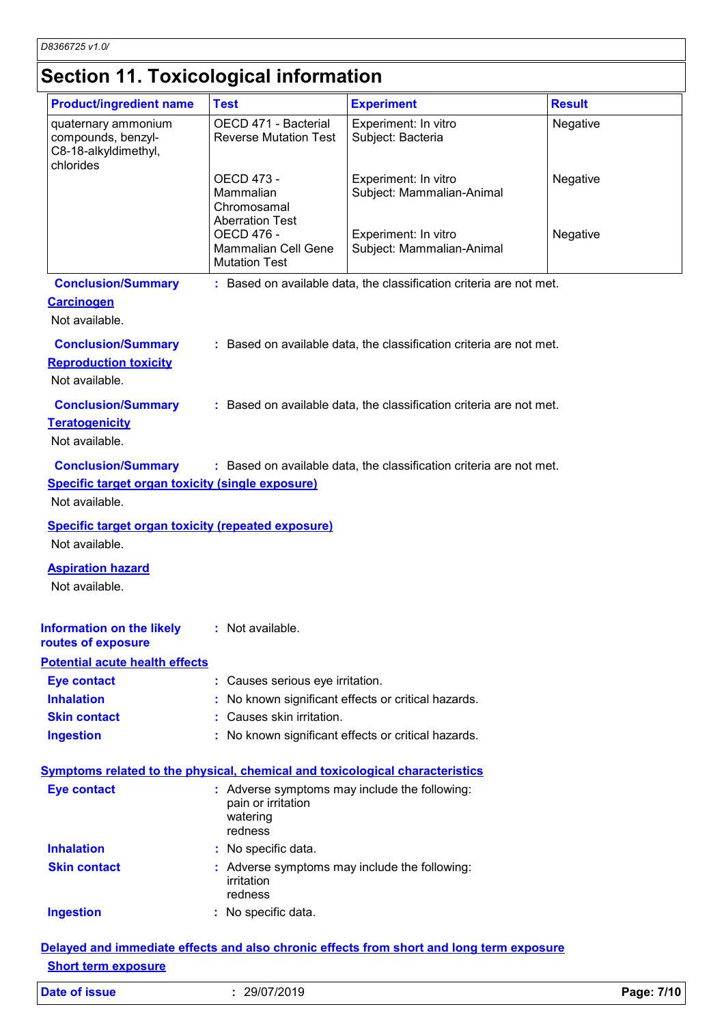# **Section 11. Toxicological information**

| <b>Product/ingredient name</b>                                                                         | <b>Test</b>                                                                                | <b>Experiment</b>                                                   | <b>Result</b> |
|--------------------------------------------------------------------------------------------------------|--------------------------------------------------------------------------------------------|---------------------------------------------------------------------|---------------|
| quaternary ammonium<br>compounds, benzyl-<br>C8-18-alkyldimethyl,<br>chlorides                         | OECD 471 - Bacterial<br><b>Reverse Mutation Test</b>                                       | Experiment: In vitro<br>Subject: Bacteria                           | Negative      |
|                                                                                                        | OECD 473 -<br>Mammalian<br>Chromosamal<br><b>Aberration Test</b>                           | Experiment: In vitro<br>Subject: Mammalian-Animal                   | Negative      |
|                                                                                                        | OECD 476 -<br><b>Mammalian Cell Gene</b><br><b>Mutation Test</b>                           | Experiment: In vitro<br>Subject: Mammalian-Animal                   | Negative      |
| <b>Conclusion/Summary</b><br><b>Carcinogen</b><br>Not available.                                       |                                                                                            | : Based on available data, the classification criteria are not met. |               |
| <b>Conclusion/Summary</b><br><b>Reproduction toxicity</b><br>Not available.                            |                                                                                            | : Based on available data, the classification criteria are not met. |               |
| <b>Conclusion/Summary</b><br><b>Teratogenicity</b><br>Not available.                                   |                                                                                            | : Based on available data, the classification criteria are not met. |               |
| <b>Conclusion/Summary</b><br><b>Specific target organ toxicity (single exposure)</b><br>Not available. |                                                                                            | : Based on available data, the classification criteria are not met. |               |
| <b>Specific target organ toxicity (repeated exposure)</b><br>Not available.                            |                                                                                            |                                                                     |               |
| <b>Aspiration hazard</b><br>Not available.                                                             |                                                                                            |                                                                     |               |
| Information on the likely : Not available.<br>routes of exposure                                       |                                                                                            |                                                                     |               |
| <b>Potential acute health effects</b>                                                                  |                                                                                            |                                                                     |               |
| <b>Eye contact</b>                                                                                     | : Causes serious eye irritation.                                                           |                                                                     |               |
| <b>Inhalation</b>                                                                                      |                                                                                            | No known significant effects or critical hazards.                   |               |
| <b>Skin contact</b>                                                                                    | : Causes skin irritation.                                                                  |                                                                     |               |
| <b>Ingestion</b>                                                                                       |                                                                                            | : No known significant effects or critical hazards.                 |               |
| <b>Symptoms related to the physical, chemical and toxicological characteristics</b>                    |                                                                                            |                                                                     |               |
| <b>Eye contact</b>                                                                                     | : Adverse symptoms may include the following:<br>pain or irritation<br>watering<br>redness |                                                                     |               |
| <b>Inhalation</b>                                                                                      | : No specific data.                                                                        |                                                                     |               |
| <b>Skin contact</b>                                                                                    | : Adverse symptoms may include the following:<br>irritation<br>redness                     |                                                                     |               |
| <b>Ingestion</b>                                                                                       | : No specific data.                                                                        |                                                                     |               |
|                                                                                                        | diata affaata and alaa                                                                     | affaata fram                                                        |               |

#### **Delayed and immediate effects and also chronic effects from short and long term exposure Short term exposure**

| Date of issue | 29/07/2019 | Page: 7/10 |
|---------------|------------|------------|
|---------------|------------|------------|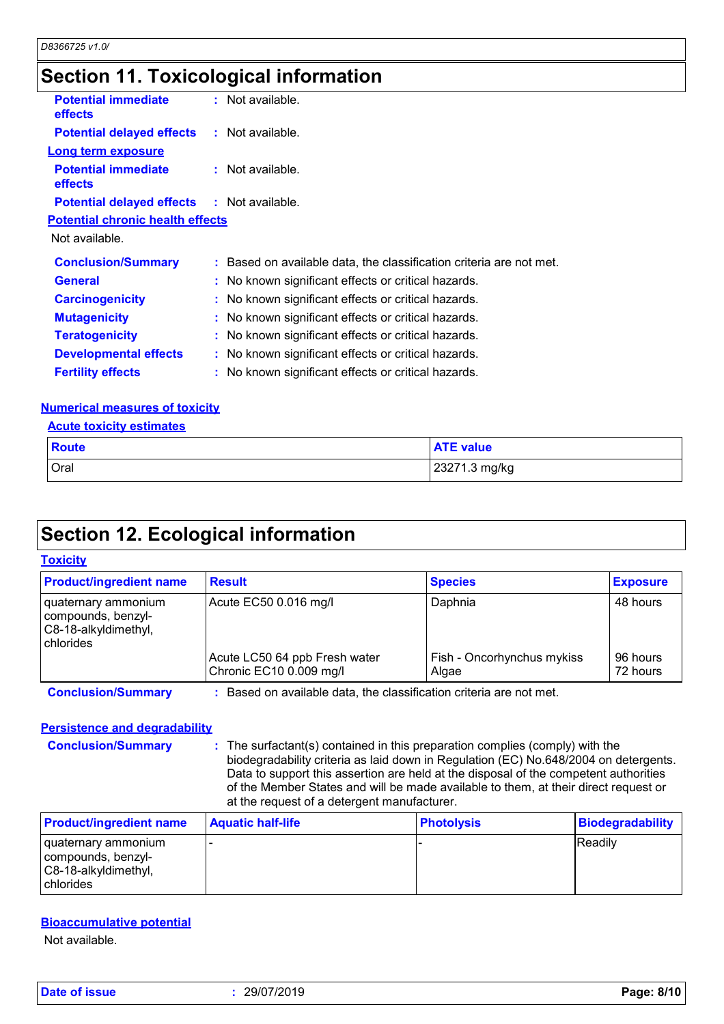# **Section 11. Toxicological information**

| <b>Potential immediate</b><br><b>effects</b>      | : Not available.                                                    |
|---------------------------------------------------|---------------------------------------------------------------------|
| <b>Potential delayed effects : Not available.</b> |                                                                     |
| <b>Long term exposure</b>                         |                                                                     |
| <b>Potential immediate</b><br><b>effects</b>      | : Not available.                                                    |
| <b>Potential delayed effects : Not available.</b> |                                                                     |
| <b>Potential chronic health effects</b>           |                                                                     |
| Not available.                                    |                                                                     |
| <b>Conclusion/Summary</b>                         | : Based on available data, the classification criteria are not met. |
| <b>General</b>                                    | : No known significant effects or critical hazards.                 |
| <b>Carcinogenicity</b>                            | : No known significant effects or critical hazards.                 |
| <b>Mutagenicity</b>                               | : No known significant effects or critical hazards.                 |
| <b>Teratogenicity</b>                             | : No known significant effects or critical hazards.                 |
| <b>Developmental effects</b>                      | : No known significant effects or critical hazards.                 |
| <b>Fertility effects</b>                          | : No known significant effects or critical hazards.                 |

#### **Numerical measures of toxicity**

|  | <b>Acute toxicity estimates</b> |
|--|---------------------------------|
|  |                                 |

| <b>Route</b> | <b>ATE value</b> |
|--------------|------------------|
| Oral         | 23271.3 mg/kg    |

# **Section 12. Ecological information**

#### **Toxicity**

| <b>Product/ingredient name</b>                                                 | <b>Result</b>                                                     | <b>Species</b>                      | <b>Exposure</b>      |
|--------------------------------------------------------------------------------|-------------------------------------------------------------------|-------------------------------------|----------------------|
| quaternary ammonium<br>compounds, benzyl-<br>C8-18-alkyldimethyl,<br>chlorides | Acute EC50 0.016 mg/l                                             | Daphnia                             | 48 hours             |
|                                                                                | Acute LC50 64 ppb Fresh water<br>Chronic EC10 0.009 mg/l          | Fish - Oncorhynchus mykiss<br>Algae | 96 hours<br>72 hours |
| <b>Conclusion/Summary</b>                                                      | Based on available data, the classification criteria are not met. |                                     |                      |

#### **Persistence and degradability**

**Conclusion/Summary :** The surfactant(s) contained in this preparation complies (comply) with the biodegradability criteria as laid down in Regulation (EC) No.648/2004 on detergents. Data to support this assertion are held at the disposal of the competent authorities of the Member States and will be made available to them, at their direct request or at the request of a detergent manufacturer.

| <b>Product/ingredient name</b>                                                          | <b>Aquatic half-life</b> | <b>Photolysis</b> | <b>Biodegradability</b> |
|-----------------------------------------------------------------------------------------|--------------------------|-------------------|-------------------------|
| I quaternary ammonium<br>compounds, benzyl-<br>C8-18-alkyldimethyl,<br><b>chlorides</b> |                          |                   | <b>Readily</b>          |

#### **Bioaccumulative potential**

Not available.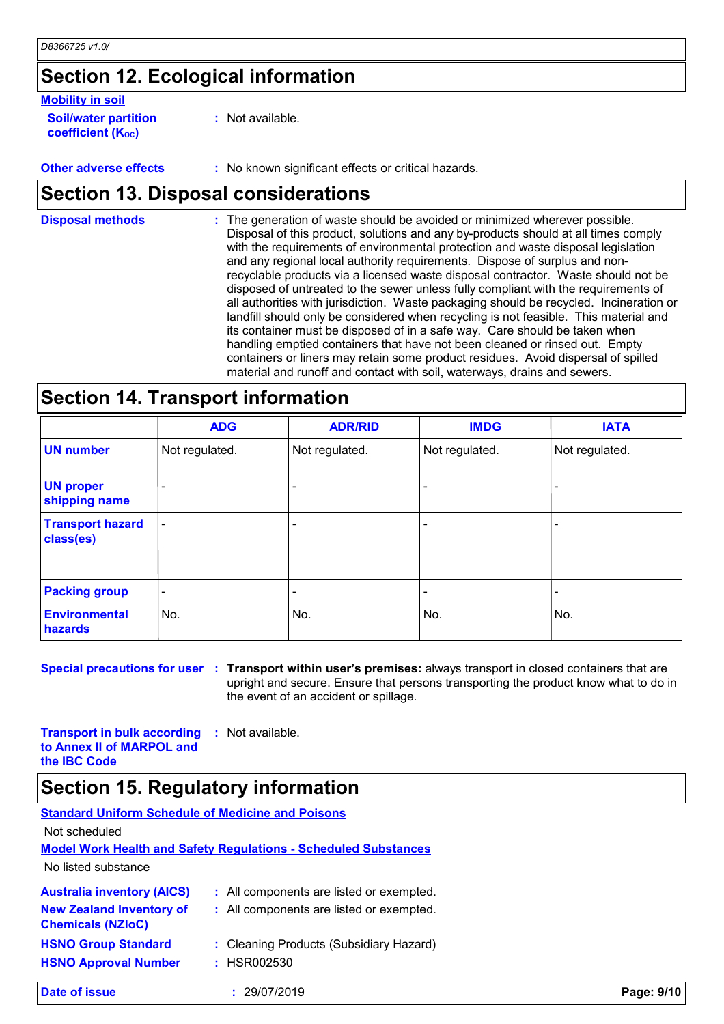# **Section 12. Ecological information**

#### **Mobility in soil**

**Soil/water partition coefficient (K**<sub>oc</sub>)

**:** Not available.

**Other adverse effects :** No known significant effects or critical hazards.

### **Section 13. Disposal considerations**

The generation of waste should be avoided or minimized wherever possible. Disposal of this product, solutions and any by-products should at all times comply with the requirements of environmental protection and waste disposal legislation and any regional local authority requirements. Dispose of surplus and nonrecyclable products via a licensed waste disposal contractor. Waste should not be disposed of untreated to the sewer unless fully compliant with the requirements of all authorities with jurisdiction. Waste packaging should be recycled. Incineration or landfill should only be considered when recycling is not feasible. This material and its container must be disposed of in a safe way. Care should be taken when handling emptied containers that have not been cleaned or rinsed out. Empty containers or liners may retain some product residues. Avoid dispersal of spilled material and runoff and contact with soil, waterways, drains and sewers. **Disposal methods :**

### **Section 14. Transport information**

|                                      | <b>ADG</b>               | <b>ADR/RID</b> | <b>IMDG</b>              | <b>IATA</b>    |
|--------------------------------------|--------------------------|----------------|--------------------------|----------------|
| <b>UN number</b>                     | Not regulated.           | Not regulated. | Not regulated.           | Not regulated. |
| <b>UN proper</b><br>shipping name    | $\overline{\phantom{a}}$ |                |                          |                |
| <b>Transport hazard</b><br>class(es) | $\overline{\phantom{a}}$ |                | $\overline{\phantom{0}}$ |                |
| <b>Packing group</b>                 | $\overline{\phantom{a}}$ | ٠              |                          |                |
| <b>Environmental</b><br>hazards      | No.                      | No.            | No.                      | No.            |

**Special precautions for user Transport within user's premises:** always transport in closed containers that are **:** upright and secure. Ensure that persons transporting the product know what to do in the event of an accident or spillage.

**Transport in bulk according to Annex II of MARPOL and the IBC Code :** Not available.

### **Section 15. Regulatory information**

| <b>Standard Uniform Schedule of Medicine and Poisons</b>    |                                                                        |            |
|-------------------------------------------------------------|------------------------------------------------------------------------|------------|
| Not scheduled                                               |                                                                        |            |
|                                                             | <b>Model Work Health and Safety Requiations - Scheduled Substances</b> |            |
| No listed substance                                         |                                                                        |            |
| <b>Australia inventory (AICS)</b>                           | : All components are listed or exempted.                               |            |
| <b>New Zealand Inventory of</b><br><b>Chemicals (NZIoC)</b> | : All components are listed or exempted.                               |            |
| <b>HSNO Group Standard</b>                                  | : Cleaning Products (Subsidiary Hazard)                                |            |
| <b>HSNO Approval Number</b>                                 | : HSR002530                                                            |            |
| Date of issue                                               | 29/07/2019                                                             | Page: 9/10 |